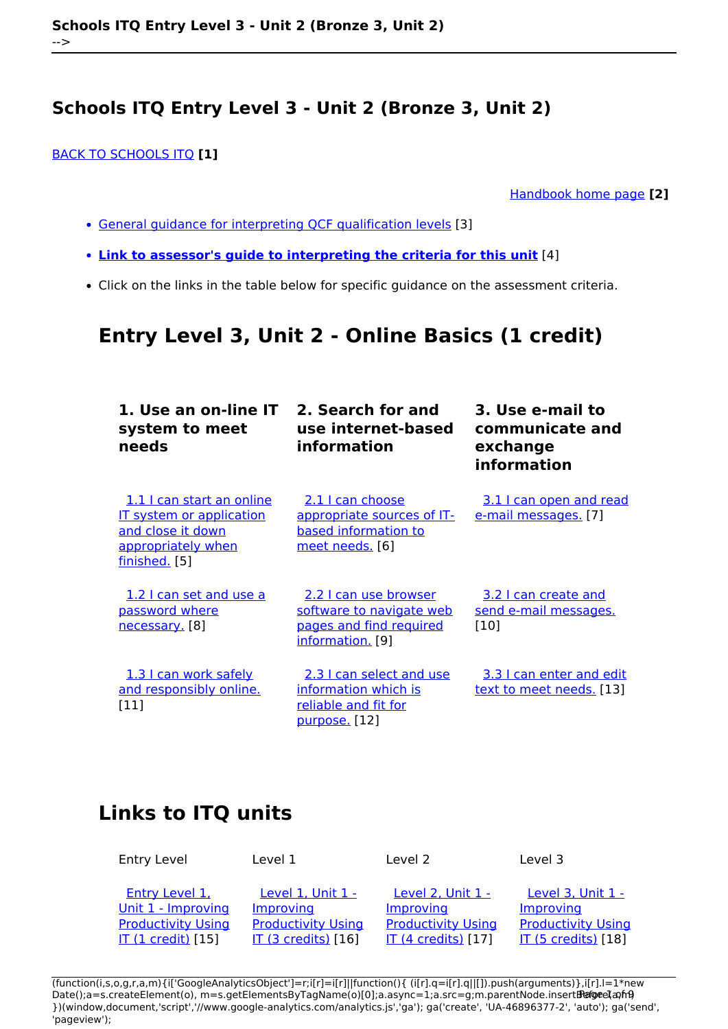[BACK TO SCHOOLS ITQ](https://theingots.org/community/ITQ_unit_development) **[1]**

[Handbook home page](https://theingots.org/community/handbook2) **[2]**

- [General guidance for interpreting QCF qualification levels](https://theingots.org/community/QCF_levels) [3]
- **[Link to assessor's guide to interpreting the criteria for this unit](https://theingots.org/community/SIEL3U2X)** [4]
- Click on the links in the table below for specific guidance on the assessment criteria.

# **Entry Level 3, Unit 2 - Online Basics (1 credit)**

| 1. Use an on-line IT<br>system to meet<br>needs                                                                          | 2. Search for and<br>use internet-based<br>information                                           | 3. Use e-mail to<br>communicate and<br>exchange<br>information |
|--------------------------------------------------------------------------------------------------------------------------|--------------------------------------------------------------------------------------------------|----------------------------------------------------------------|
| 1.1 I can start an online<br><b>IT system or application</b><br>and close it down<br>appropriately when<br>finished. [5] | 2.1 I can choose<br>appropriate sources of IT-<br>based information to<br>meet needs. [6]        | 3.1 I can open and read<br>e-mail messages. [7]                |
| 1.2 I can set and use a<br>password where<br>necessary. [8]                                                              | 2.2 I can use browser<br>software to navigate web<br>pages and find required<br>information. [9] | 3.2 I can create and<br>send e-mail messages.<br>[10]          |
| 1.3 I can work safely<br>and responsibly online.<br>[11]                                                                 | 2.3 I can select and use<br>information which is<br>reliable and fit for<br>purpose. [12]        | 3.3 I can enter and edit<br><u>text to meet needs.</u> [13]    |

# **Links to ITQ units**

Entry Level 1 Level 1 Level 2 Level 3

[Entry Level 1,](https://theingots.org/community/siel1u1) [Unit 1 - Improving](https://theingots.org/community/siel1u1) [Productivity Using](https://theingots.org/community/siel1u1) [IT \(1 credit\)](https://theingots.org/community/siel1u1) [15]

[Level 1, Unit 1 -](https://theingots.org/community/sil1u1) [Improving](https://theingots.org/community/sil1u1) [Productivity Using](https://theingots.org/community/sil1u1) [IT \(3 credits\)](https://theingots.org/community/sil1u1) [16]

[Level 2, Unit 1 -](https://theingots.org/community/sil2u1) [Improving](https://theingots.org/community/sil2u1) [Productivity Using](https://theingots.org/community/sil2u1) [IT \(4 credits\)](https://theingots.org/community/sil2u1) [17]

[Level 3, Unit 1 -](https://theingots.org/community/sil3u1) [Improving](https://theingots.org/community/sil3u1) **[Productivity Using](https://theingots.org/community/sil3u1)** [IT \(5 credits\)](https://theingots.org/community/sil3u1) [18]

(function(i,s,o,g,r,a,m){i['GoogleAnalyticsObject']=r;i[r]=i[r]||function(){ (i[r].q=i[r].q||[]).push(arguments)},i[r].l=1\*new Date();a=s.createElement(o), m=s.getElementsByTagName(o)[0];a.async=1;a.src=g;m.parentNode.insertBහ@eetฺaภฺfr9 })(window,document,'script','//www.google-analytics.com/analytics.js','ga'); ga('create', 'UA-46896377-2', 'auto'); ga('send', 'pageview');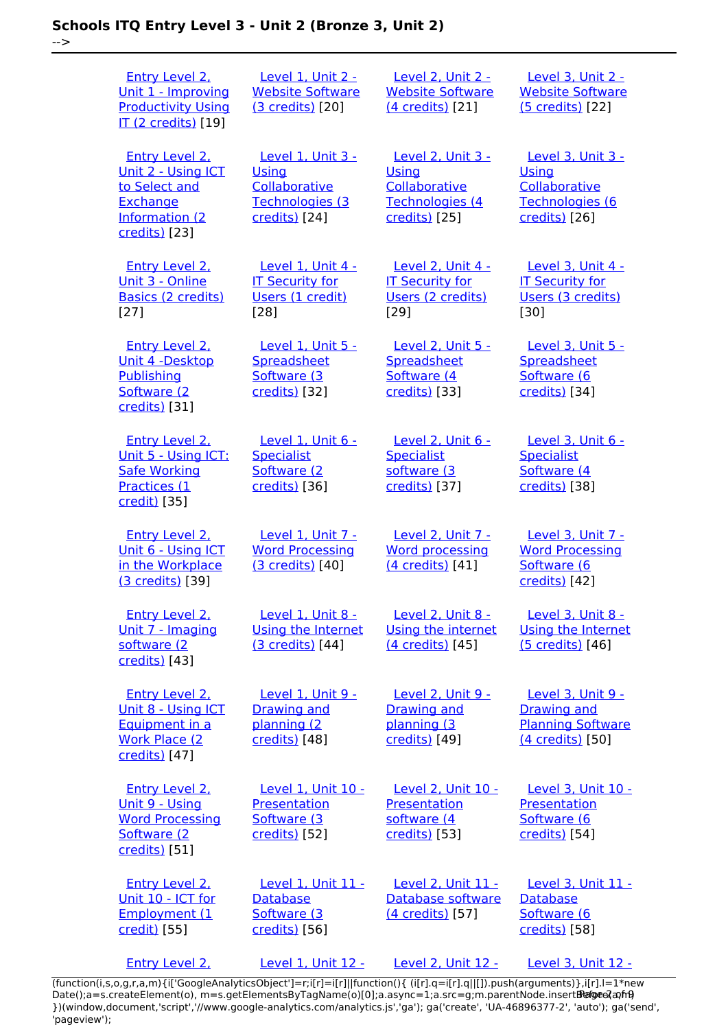-->

| <b>Entry Level 2.</b><br>Unit 1 - Improving<br><b>Productivity Using</b><br>IT (2 credits) [19]         | Level 1, Unit 2 -<br><b>Website Software</b><br>(3 credits) [20]                       | Level 2, Unit 2 -<br><b>Website Software</b><br>(4 credits) [21]                       | Level 3, Unit 2 -<br><b>Website Software</b><br>(5 credits) [22]                        |
|---------------------------------------------------------------------------------------------------------|----------------------------------------------------------------------------------------|----------------------------------------------------------------------------------------|-----------------------------------------------------------------------------------------|
| Entry Level 2.<br>Unit 2 - Using ICT<br>to Select and<br>Exchange<br>Information (2<br>credits) [23]    | <b>Level 1. Unit 3 -</b><br>Using<br>Collaborative<br>Technologies (3<br>credits) [24] | <b>Level 2. Unit 3 -</b><br>Using<br>Collaborative<br>Technologies (4<br>credits) [25] | <b>Level 3. Unit 3 -</b><br>Using<br>Collaborative<br>Technologies (6<br>credits) [26]  |
| Entry Level 2,<br>Unit 3 - Online<br><b>Basics (2 credits)</b><br>$[27]$                                | <b>Level 1. Unit 4 -</b><br><b>IT Security for</b><br>Users (1 credit)<br>$[28]$       | <b>Level 2. Unit 4 -</b><br><b>IT Security for</b><br>Users (2 credits)<br>[29]        | <b>Level 3. Unit 4 -</b><br><b>IT Security for</b><br>Users (3 credits)<br>[30]         |
| <b>Entry Level 2.</b><br>Unit 4 -Desktop<br>Publishing<br>Software (2<br>credits) [31]                  | <b>Level 1, Unit 5 -</b><br>Spreadsheet<br>Software (3<br>credits) [32]                | <b>Level 2, Unit 5 -</b><br>Spreadsheet<br>Software (4<br>credits) [33]                | Level 3, Unit 5 -<br>Spreadsheet<br>Software (6<br>credits) [34]                        |
| <b>Entry Level 2.</b><br>Unit 5 - Using ICT:<br><b>Safe Working</b><br>Practices (1<br>credit) [35]     | Level 1, Unit 6 -<br><b>Specialist</b><br>Software (2)<br>credits) [36]                | Level 2, Unit 6 -<br><b>Specialist</b><br>software (3)<br>credits) [37]                | Level 3, Unit 6 -<br><b>Specialist</b><br>Software (4<br>credits) [38]                  |
| <b>Entry Level 2.</b><br>Unit 6 - Using ICT<br>in the Workplace<br>(3 credits) [39]                     | Level 1. Unit 7 -<br><b>Word Processing</b><br>(3 credits) [40]                        | Level 2. Unit 7 -<br><b>Word processing</b><br>$(4$ credits) $[41]$                    | <b>Level 3. Unit 7 -</b><br><b>Word Processing</b><br>Software (6<br>credits) [42]      |
| <b>Entry Level 2.</b><br>Unit 7 - Imaging<br>software (2)<br>credits) [43]                              | Level 1, Unit 8 -<br>Using the Internet<br>(3 credits) [44]                            | Level 2, Unit 8 -<br>Using the internet<br>(4 credits) [45]                            | <b>Level 3, Unit 8 -</b><br><b>Using the Internet</b><br>(5 credits) [46]               |
| <b>Entry Level 2.</b><br>Unit 8 - Using ICT<br>Equipment in a<br><b>Work Place (2)</b><br>credits) [47] | Level 1, Unit 9 -<br><b>Drawing and</b><br>planning (2<br>credits) [48]                | Level 2, Unit 9 -<br><b>Drawing and</b><br>planning (3<br>credits) [49]                | Level 3, Unit 9 -<br><b>Drawing and</b><br><b>Planning Software</b><br>(4 credits) [50] |
| <b>Entry Level 2.</b><br>Unit 9 - Using<br><b>Word Processing</b><br>Software (2<br>credits) [51]       | Level 1, Unit 10 -<br>Presentation<br>Software (3<br>credits) [52]                     | Level 2, Unit 10 -<br>Presentation<br>software (4<br>credits) [53]                     | Level 3, Unit 10 -<br>Presentation<br>Software (6<br>credits) [54]                      |
| <b>Entry Level 2.</b><br>Unit 10 - ICT for<br>Employment (1<br>credit) [55]                             | Level 1, Unit 11 -<br><b>Database</b><br>Software (3<br>credits) [56]                  | Level 2, Unit 11 -<br>Database software<br>(4 credits) [57]                            | Level 3, Unit 11 -<br><b>Database</b><br>Software (6<br>credits) [58]                   |
| <b>Entry Level 2.</b>                                                                                   | <b>Level 1, Unit 12 -</b>                                                              | <b>Level 2, Unit 12 -</b>                                                              | <b>Level 3, Unit 12 -</b>                                                               |

[\(function\(i,s,o,g,r,a,m\){i\['GoogleAnalyticsObject'\]=r;i\[r\]=i\[r\]||function\(\){ \(i\[r\].q=i\[r\].q||\[\]\).push\(arguments\)},i\[r\].l=1\\*new](https://theingots.org/community/siel2u11) Date();a=s.createElement(o), m=s.getElementsByTagName(o)[0];a.async=1;a.src=g;m.parentNode.insert**Bෂ@e**ද?aກກ [}\)\(window,document,'script','//www.google-analytics.com/analytics.js','ga'\); ga\('create', 'UA-46896377-2', 'auto'\); ga\('send',](https://theingots.org/community/siel2u11) ['pageview'\);](https://theingots.org/community/siel2u11) Paggre2a, nA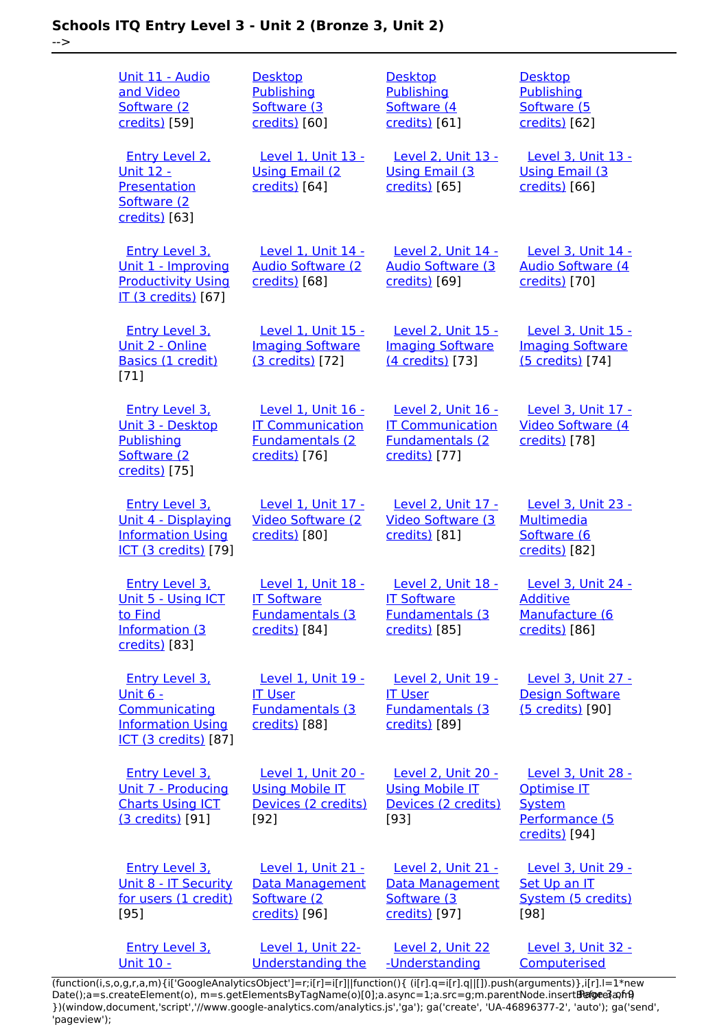-->

| <u> Unit 11 - Audio</u><br>and Video<br>Software (2<br>credits) [59]                                                  | <b>Desktop</b><br><b>Publishing</b><br>Software (3<br>credits) [60]                       | <b>Desktop</b><br>Publishing<br>Software (4<br>credits) [61]                              | <b>Desktop</b><br>Publishing<br>Software (5<br>credits) [62]                                        |
|-----------------------------------------------------------------------------------------------------------------------|-------------------------------------------------------------------------------------------|-------------------------------------------------------------------------------------------|-----------------------------------------------------------------------------------------------------|
| <b>Entry Level 2.</b><br><b>Unit 12 -</b><br>Presentation<br>Software (2)<br>credits) [63]                            | Level 1. Unit 13 -<br><b>Using Email (2)</b><br>credits) [64]                             | Level 2. Unit 13 -<br><b>Using Email (3)</b><br>credits) [65]                             | Level 3. Unit 13 -<br><b>Using Email (3)</b><br>credits) [66]                                       |
| <b>Entry Level 3.</b><br>Unit 1 - Improving<br><b>Productivity Using</b><br><b>IT (3 credits)</b> [67]                | <b>Level 1, Unit 14 -</b><br><b>Audio Software (2)</b><br>credits) [68]                   | <b>Level 2, Unit 14 -</b><br><b>Audio Software (3)</b><br>credits) [69]                   | Level 3, Unit 14 -<br><b>Audio Software (4)</b><br>credits) [70]                                    |
| Entry Level 3,<br>Unit 2 - Online<br>Basics (1 credit)<br>$[71]$                                                      | Level 1, Unit 15 -<br><b>Imaging Software</b><br>(3 credits) [72]                         | Level 2. Unit 15 -<br><b>Imaging Software</b><br>(4 credits) [73]                         | Level 3. Unit 15 -<br><b>Imaging Software</b><br>(5 credits) [74]                                   |
| <b>Entry Level 3.</b><br>Unit 3 - Desktop<br>Publishing<br>Software (2<br>credits) [75]                               | Level 1, Unit 16 -<br><b>IT Communication</b><br><b>Fundamentals (2)</b><br>credits) [76] | Level 2, Unit 16 -<br><b>IT Communication</b><br><b>Fundamentals (2)</b><br>credits) [77] | Level 3, Unit 17 -<br><b>Video Software (4)</b><br>credits) [78]                                    |
| <b>Entry Level 3.</b><br>Unit 4 - Displaying<br><b>Information Using</b><br><b>ICT (3 credits)</b> [79]               | Level 1, Unit 17 -<br><b>Video Software (2)</b><br>credits) [80]                          | Level 2, Unit 17 -<br><b>Video Software (3)</b><br>credits) [81]                          | Level 3, Unit 23 -<br><b>Multimedia</b><br>Software (6<br>credits) [82]                             |
| <b>Entry Level 3.</b><br>Unit 5 - Using ICT<br>to Find<br><b>Information (3)</b><br>credits) [83]                     | Level 1, Unit 18 -<br><b>IT Software</b><br><b>Fundamentals (3)</b><br>credits) [84]      | Level 2, Unit 18 -<br><b>IT Software</b><br><b>Fundamentals (3)</b><br>credits) [85]      | Level 3, Unit 24 -<br><b>Additive</b><br>Manufacture (6<br>credits) [86]                            |
| <b>Entry Level 3.</b><br><u> Unit 6 -</u><br>Communicating<br><b>Information Using</b><br><b>ICT (3 credits)</b> [87] | Level 1, Unit 19 -<br><b>IT User</b><br><b>Fundamentals (3)</b><br>credits) [88]          | Level 2, Unit 19 -<br><b>IT User</b><br><b>Fundamentals (3)</b><br>credits) [89]          | Level 3, Unit 27 -<br><b>Design Software</b><br>(5 credits) [90]                                    |
| <b>Entry Level 3.</b><br>Unit 7 - Producing<br><b>Charts Using ICT</b><br>(3 credits) [91]                            | Level 1, Unit 20 -<br><b>Using Mobile IT</b><br>Devices (2 credits)<br>$[92]$             | Level 2, Unit 20 -<br><b>Using Mobile IT</b><br>Devices (2 credits)<br>$[93]$             | <b>Level 3, Unit 28 -</b><br><b>Optimise IT</b><br><b>System</b><br>Performance (5<br>credits) [94] |
| Entry Level 3,<br>Unit 8 - IT Security<br>for users (1 credit)<br>$[95]$                                              | Level 1. Unit 21 -<br>Data Management<br>Software (2<br>credits) [96]                     | Level 2. Unit 21 -<br>Data Management<br>Software (3<br>credits) [97]                     | Level 3. Unit 29 -<br>Set Up an IT<br>System (5 credits)<br>[98]                                    |
| <b>Entry Level 3.</b><br><u> Unit 10 -</u>                                                                            | Level 1, Unit 22-<br><b>Understanding the</b>                                             | Level 2, Unit 22<br>-Understanding                                                        | Level 3, Unit 32 -<br>Computerised                                                                  |

[\(function\(i,s,o,g,r,a,m\){i\['GoogleAnalyticsObject'\]=r;i\[r\]=i\[r\]||function\(\){ \(i\[r\].q=i\[r\].q||\[\]\).push\(arguments\)},i\[r\].l=1\\*new](https://theingots.org/community/siel3u10) Date();a=s.createElement(o), m=s.getElementsByTagName(o)[0];a.async=1;a.src=g;m.parentNode.insert**Before**e{a,mf} [}\)\(window,document,'script','//www.google-analytics.com/analytics.js','ga'\); ga\('create', 'UA-46896377-2', 'auto'\); ga\('send',](https://theingots.org/community/siel3u10) ['pageview'\);](https://theingots.org/community/siel3u10) Pagore3a, frB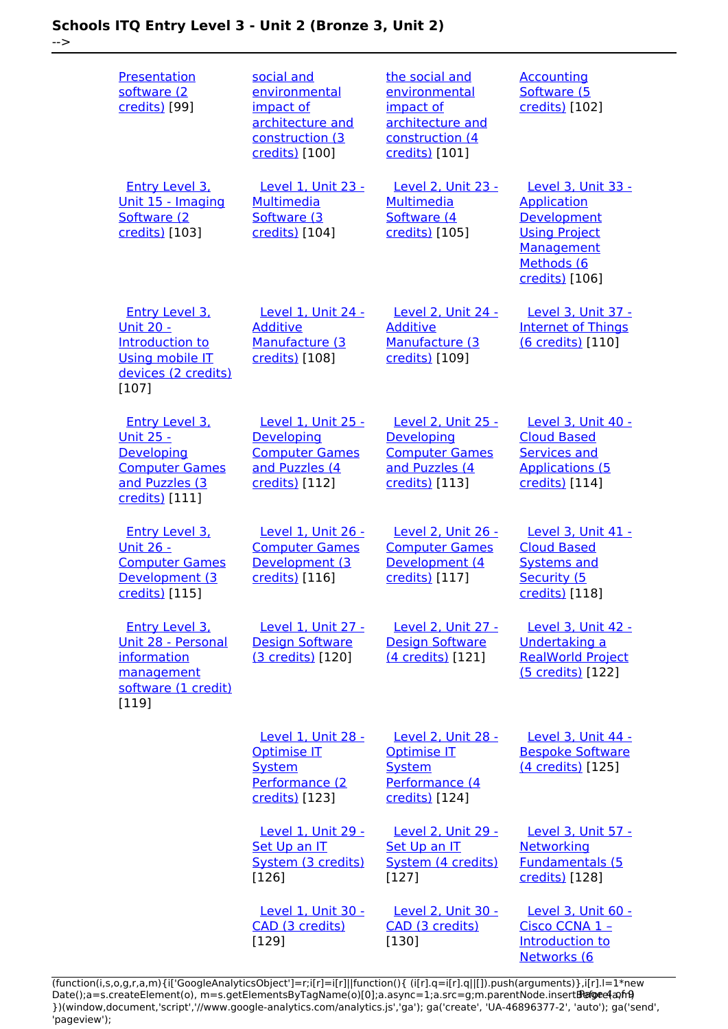-->

| <b>Presentation</b><br>software (2<br>credits) [99]                                                                   | social and<br>environmental<br>impact of<br>architecture and<br>construction (3<br>credits) [100]           | the social and<br>environmental<br>impact of<br>architecture and<br>construction (4<br>credits) [101] | <b>Accounting</b><br>Software (5<br>credits) [102]                                                                                   |
|-----------------------------------------------------------------------------------------------------------------------|-------------------------------------------------------------------------------------------------------------|-------------------------------------------------------------------------------------------------------|--------------------------------------------------------------------------------------------------------------------------------------|
| <b>Entry Level 3.</b><br>Unit 15 - Imaging<br>Software (2)<br>credits) [103]                                          | <b>Level 1, Unit 23 -</b><br>Multimedia<br>Software (3<br>credits) [104]                                    | <b>Level 2, Unit 23 -</b><br>Multimedia<br>Software (4<br>credits) [105]                              | <b>Level 3, Unit 33 -</b><br><b>Application</b><br>Development<br><b>Using Project</b><br>Management<br>Methods (6<br>credits) [106] |
| Entry Level 3.<br><u> Unit 20 -</u><br>Introduction to<br><b>Using mobile IT</b><br>devices (2 credits)<br>$[107]$    | Level 1, Unit 24 -<br><b>Additive</b><br>Manufacture (3<br>credits) [108]                                   | Level 2. Unit 24 -<br><b>Additive</b><br>Manufacture (3<br>credits) [109]                             | Level 3. Unit 37 -<br><b>Internet of Things</b><br>(6 credits) [110]                                                                 |
| <b>Entry Level 3.</b><br><u> Unit 25 -</u><br>Developing<br><b>Computer Games</b><br>and Puzzles (3<br>credits) [111] | <b>Level 1, Unit 25 -</b><br><b>Developing</b><br><b>Computer Games</b><br>and Puzzles (4<br>credits) [112] | <b>Level 2, Unit 25 -</b><br>Developing<br><b>Computer Games</b><br>and Puzzles (4<br>credits) [113]  | <b>Level 3, Unit 40 -</b><br><b>Cloud Based</b><br><b>Services and</b><br><b>Applications (5</b><br>credits) [114]                   |
| <b>Entry Level 3.</b><br><u> Unit 26 - </u><br><b>Computer Games</b><br>Development (3<br>credits) [115]              | Level 1, Unit 26 -<br><b>Computer Games</b><br>Development (3<br>credits) [116]                             | Level 2, Unit 26 -<br><b>Computer Games</b><br>Development (4<br>credits) [117]                       | <b>Level 3, Unit 41 -</b><br><b>Cloud Based</b><br><b>Systems and</b><br>Security (5<br>credits) [118]                               |
| <b>Entry Level 3.</b><br>Unit 28 - Personal<br>information<br>management<br>software (1 credit)<br>[119]              | <b>Level 1. Unit 27 -</b><br><b>Design Software</b><br>(3 credits) [120]                                    | <b>Level 2, Unit 27 -</b><br><b>Design Software</b><br>(4 credits) [121]                              | <b>Level 3. Unit 42 -</b><br>Undertaking a<br><b>RealWorld Project</b><br>(5 credits) [122]                                          |
|                                                                                                                       | Level 1, Unit 28 -<br><b>Optimise IT</b><br><b>System</b><br>Performance (2<br>credits) [123]               | Level 2, Unit 28 -<br>Optimise IT<br><b>System</b><br>Performance (4<br>credits) [124]                | Level 3, Unit 44 -<br><b>Bespoke Software</b><br>(4 credits) [125]                                                                   |
|                                                                                                                       | <b>Level 1. Unit 29 -</b><br>Set Up an IT<br>System (3 credits)<br>$[126]$                                  | <b>Level 2. Unit 29 -</b><br>Set Up an IT<br>System (4 credits)<br>$[127]$                            | Level 3, Unit 57 -<br><b>Networking</b><br><b>Fundamentals (5</b><br>credits) [128]                                                  |
|                                                                                                                       | Level 1, Unit 30 -<br>CAD (3 credits)<br>[129]                                                              | <b>Level 2, Unit 30 -</b><br>CAD (3 credits)<br>[130]                                                 | Level 3, Unit 60 -<br>Cisco CCNA 1 -<br>Introduction to<br>Networks (6                                                               |

[\(function\(i,s,o,g,r,a,m\){i\['GoogleAnalyticsObject'\]=r;i\[r\]=i\[r\]||function\(\){ \(i\[r\].q=i\[r\].q||\[\]\).push\(arguments\)},i\[r\].l=1\\*new](https://theingots.org/community/sil3u60) Date();a=s.createElement(o), m=s.getElementsByTagName(o)[0];a.async=1;a.src=g;m.parentNode.insert**Bෂ@e4**a,m9 [}\)\(window,document,'script','//www.google-analytics.com/analytics.js','ga'\); ga\('create', 'UA-46896377-2', 'auto'\); ga\('send',](https://theingots.org/community/sil3u60) ['pageview'\);](https://theingots.org/community/sil3u60) Page 4 of 9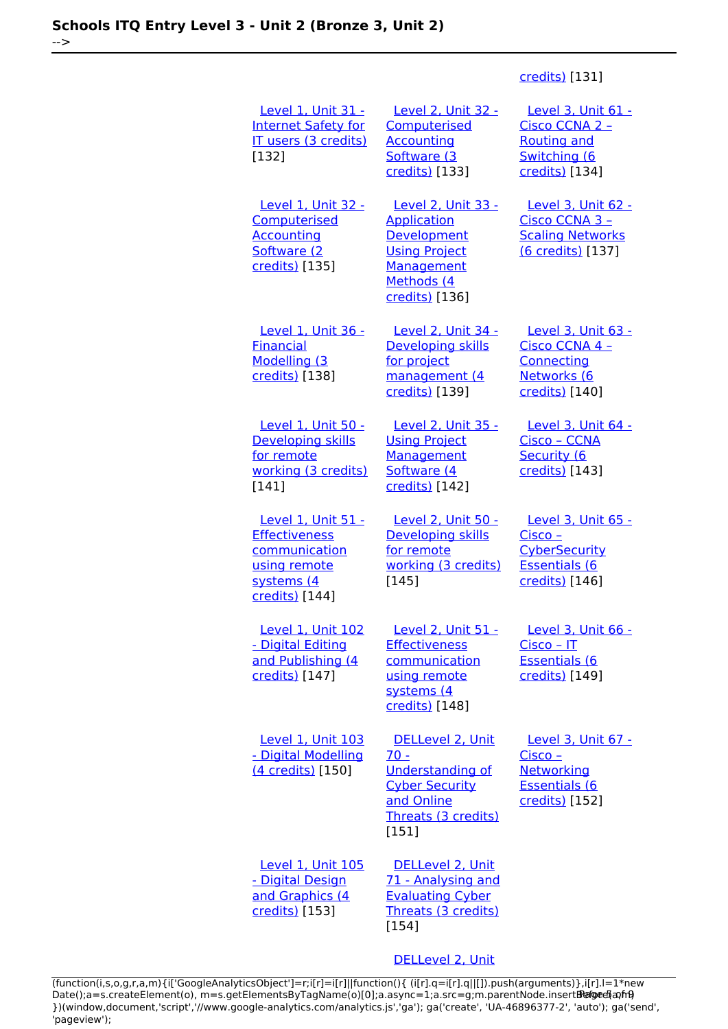#### [credits\)](https://theingots.org/community/sil3u60) [131]

| Level 1, Unit 31 -<br><b>Internet Safety for</b><br>IT users (3 credits)<br>[132]                           | <b>Level 2, Unit 32 -</b><br>Computerised<br><b>Accounting</b><br>Software (3<br>credits) [133]                                | Level 3, Unit 61 -<br>Cisco CCNA 2 -<br><b>Routing and</b><br>Switching (6<br>credits) [134]             |
|-------------------------------------------------------------------------------------------------------------|--------------------------------------------------------------------------------------------------------------------------------|----------------------------------------------------------------------------------------------------------|
| Level 1, Unit 32 -<br>Computerised<br><b>Accounting</b><br>Software (2<br>credits) [135]                    | <b>Level 2, Unit 33 -</b><br>Application<br>Development<br><b>Using Project</b><br>Management<br>Methods (4<br>credits) [136]  | <u>Level 3, Unit 62 -</u><br>Cisco CCNA 3 -<br><b>Scaling Networks</b><br>(6 credits) [137]              |
| Level 1, Unit 36 -<br><b>Financial</b><br>Modelling (3<br>credits) [138]                                    | Level 2, Unit 34 -<br>Developing skills<br>for project<br>management (4<br>credits) [139]                                      | Level 3, Unit 63 -<br>Cisco CCNA 4 -<br>Connecting<br>Networks (6<br>credits) [140]                      |
| Level 1, Unit 50 -<br>Developing skills<br>for remote<br>working (3 credits)<br>[141]                       | <b>Level 2, Unit 35 -</b><br><b>Using Project</b><br>Management<br>Software (4<br>credits) [142]                               | Level 3, Unit 64 -<br>Cisco - CCNA<br>Security (6<br>credits) [143]                                      |
| Level 1, Unit 51 -<br><b>Effectiveness</b><br>communication<br>using remote<br>systems (4<br>credits) [144] | <u>Level 2, Unit 50 -</u><br>Developing skills<br>for remote<br>working (3 credits)<br>$[145]$                                 | Level 3, Unit 65 -<br><u> Cisco – </u><br><b>CyberSecurity</b><br><b>Essentials (6</b><br>credits) [146] |
| <b>Level 1, Unit 102</b><br>- Digital Editing<br>and Publishing (4<br>credits) [147]                        | <b>Level 2, Unit 51 -</b><br>Effectiveness<br>communication<br>using remote<br>systems (4<br>credits) [148]                    | <u>Level 3, Unit 66 -</u><br><u> Cisco – IT</u><br>Essentials (6<br>credits) [149]                       |
| <b>Level 1, Unit 103</b><br>- Digital Modelling<br>(4 credits) [150]                                        | DELLevel 2, Unit<br>$70 -$<br><b>Understanding of</b><br><b>Cyber Security</b><br>and Online<br>Threats (3 credits)<br>$[151]$ | Level 3, Unit 67 -<br>Cisco -<br><b>Networking</b><br><b>Essentials (6</b><br>credits) [152]             |
| Level 1, Unit 105<br>- Digital Design<br>and Graphics (4<br>credits) [153]                                  | DELLevel 2, Unit<br>71 - Analysing and<br><b>Evaluating Cyber</b><br>Threats (3 credits)<br>$[154]$                            |                                                                                                          |
|                                                                                                             | DELLevel 2, Unit                                                                                                               |                                                                                                          |

[\(function\(i,s,o,g,r,a,m\){i\['GoogleAnalyticsObject'\]=r;i\[r\]=i\[r\]||function\(\){ \(i\[r\].q=i\[r\].q||\[\]\).push\(arguments\)},i\[r\].l=1\\*new](https://theingots.org/community/sil2u72) Date();a=s.createElement(o), m=s.getElementsByTagName(o)[0];a.async=1;a.src=g;m.parentNode.insert**Before**e{a,mf} [}\)\(window,document,'script','//www.google-analytics.com/analytics.js','ga'\); ga\('create', 'UA-46896377-2', 'auto'\); ga\('send',](https://theingots.org/community/sil2u72) ['pageview'\);](https://theingots.org/community/sil2u72) Pangred a fri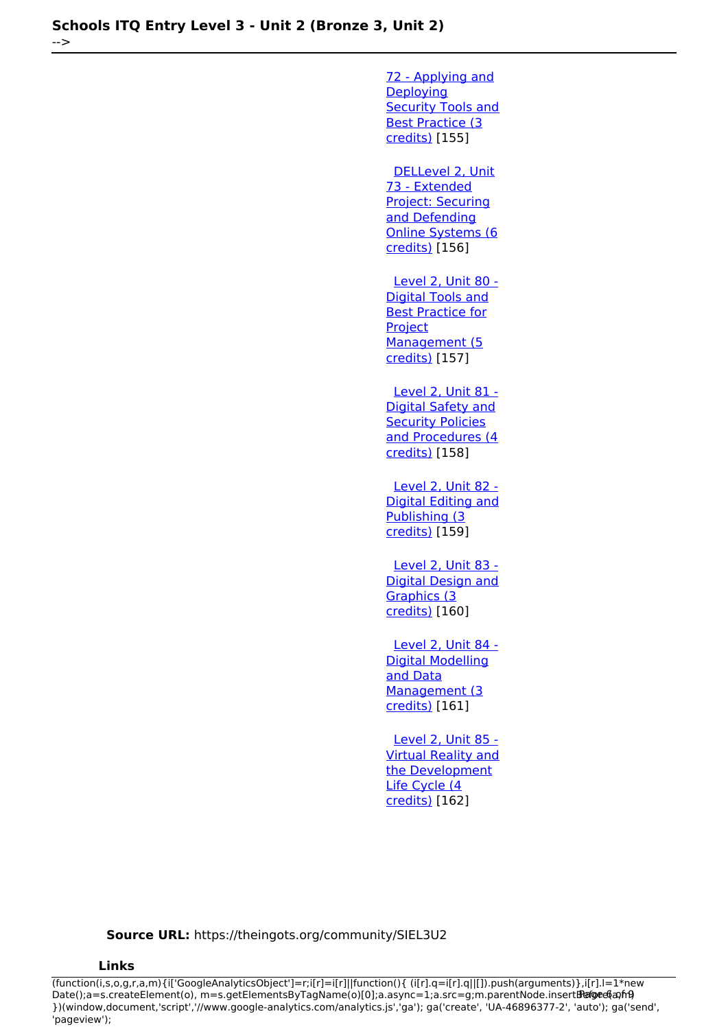-->

[72 - Applying and](https://theingots.org/community/sil2u72) [Deploying](https://theingots.org/community/sil2u72) **[Security Tools and](https://theingots.org/community/sil2u72)** [Best Practice \(3](https://theingots.org/community/sil2u72) [credits\)](https://theingots.org/community/sil2u72) [155]

 [DELLevel 2, Unit](https://theingots.org/community/sil2u73) [73 - Extended](https://theingots.org/community/sil2u73) [Project: Securing](https://theingots.org/community/sil2u73) [and Defending](https://theingots.org/community/sil2u73) [Online Systems \(6](https://theingots.org/community/sil2u73) [credits\)](https://theingots.org/community/sil2u73) [156]

[Level 2, Unit 80 -](https://theingots.org/community/sil2u80) [Digital Tools and](https://theingots.org/community/sil2u80) [Best Practice for](https://theingots.org/community/sil2u80) **[Project](https://theingots.org/community/sil2u80)** [Management \(5](https://theingots.org/community/sil2u80) [credits\)](https://theingots.org/community/sil2u80) [157]

 [Level 2, Unit 81 -](https://theingots.org/community/sil2u81) [Digital Safety and](https://theingots.org/community/sil2u81) [Security Policies](https://theingots.org/community/sil2u81) [and Procedures \(4](https://theingots.org/community/sil2u81) [credits\)](https://theingots.org/community/sil2u81) [158]

 [Level 2, Unit 82 -](https://theingots.org/community/sil2u82) [Digital Editing and](https://theingots.org/community/sil2u82) [Publishing \(3](https://theingots.org/community/sil2u82) [credits\)](https://theingots.org/community/sil2u82) [159]

 [Level 2, Unit 83 -](https://theingots.org/community/sil2u83) [Digital Design and](https://theingots.org/community/sil2u83) [Graphics \(3](https://theingots.org/community/sil2u83) [credits\)](https://theingots.org/community/sil2u83) [160]

 [Level 2, Unit 84 -](https://theingots.org/community/sil2u84) [Digital Modelling](https://theingots.org/community/sil2u84) [and Data](https://theingots.org/community/sil2u84) [Management \(3](https://theingots.org/community/sil2u84) [credits\)](https://theingots.org/community/sil2u84) [161]

 [Level 2, Unit 85 -](https://theingots.org/community/sil2u85) [Virtual Reality and](https://theingots.org/community/sil2u85) [the Development](https://theingots.org/community/sil2u85) [Life Cycle \(4](https://theingots.org/community/sil2u85) [credits\)](https://theingots.org/community/sil2u85) [162]

**Source URL:** https://theingots.org/community/SIEL3U2

#### **Links**

(function(i,s,o,g,r,a,m){i['GoogleAnalyticsObject']=r;i[r]=i[r]||function(){ (i[r].q=i[r].q||[]).push(arguments)},i[r].l=1\*new Date();a=s.createElement(o), m=s.getElementsByTagName(o)[0];a.async=1;a.src=g;m.parentNode.insertBefore&aภfr9 })(window,document,'script','//www.google-analytics.com/analytics.js','ga'); ga('create', 'UA-46896377-2', 'auto'); ga('send', 'pageview');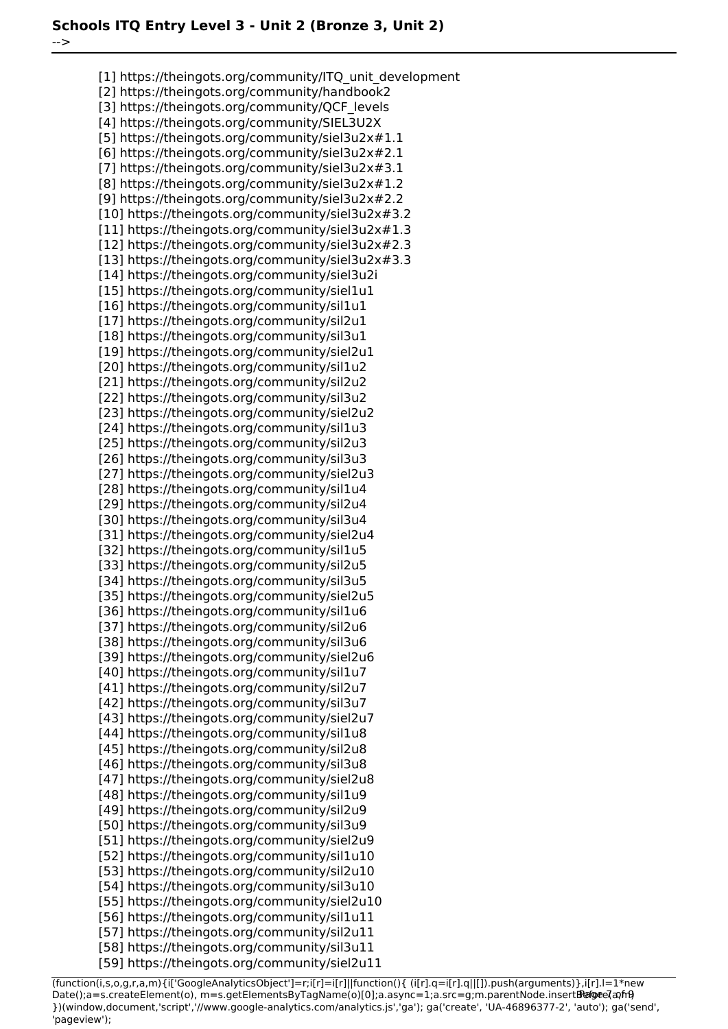-->

[1] https://theingots.org/community/ITQ\_unit\_development [2] https://theingots.org/community/handbook2 [3] https://theingots.org/community/QCF\_levels [4] https://theingots.org/community/SIEL3U2X [5] https://theingots.org/community/siel3u2x#1.1 [6] https://theingots.org/community/siel3u2x#2.1 [7] https://theingots.org/community/siel3u2x#3.1 [8] https://theingots.org/community/siel3u2x#1.2 [9] https://theingots.org/community/siel3u2x#2.2 [10] https://theingots.org/community/siel3u2x#3.2 [11] https://theingots.org/community/siel3u2x#1.3 [12] https://theingots.org/community/siel3u2x#2.3 [13] https://theingots.org/community/siel3u2x#3.3 [14] https://theingots.org/community/siel3u2i [15] https://theingots.org/community/siel1u1 [16] https://theingots.org/community/sil1u1 [17] https://theingots.org/community/sil2u1 [18] https://theingots.org/community/sil3u1 [19] https://theingots.org/community/siel2u1 [20] https://theingots.org/community/sil1u2 [21] https://theingots.org/community/sil2u2 [22] https://theingots.org/community/sil3u2 [23] https://theingots.org/community/siel2u2 [24] https://theingots.org/community/sil1u3 [25] https://theingots.org/community/sil2u3 [26] https://theingots.org/community/sil3u3 [27] https://theingots.org/community/siel2u3 [28] https://theingots.org/community/sil1u4 [29] https://theingots.org/community/sil2u4 [30] https://theingots.org/community/sil3u4 [31] https://theingots.org/community/siel2u4 [32] https://theingots.org/community/sil1u5 [33] https://theingots.org/community/sil2u5 [34] https://theingots.org/community/sil3u5 [35] https://theingots.org/community/siel2u5 [36] https://theingots.org/community/sil1u6 [37] https://theingots.org/community/sil2u6 [38] https://theingots.org/community/sil3u6 [39] https://theingots.org/community/siel2u6 [40] https://theingots.org/community/sil1u7 [41] https://theingots.org/community/sil2u7 [42] https://theingots.org/community/sil3u7 [43] https://theingots.org/community/siel2u7 [44] https://theingots.org/community/sil1u8 [45] https://theingots.org/community/sil2u8 [46] https://theingots.org/community/sil3u8 [47] https://theingots.org/community/siel2u8 [48] https://theingots.org/community/sil1u9 [49] https://theingots.org/community/sil2u9 [50] https://theingots.org/community/sil3u9 [51] https://theingots.org/community/siel2u9 [52] https://theingots.org/community/sil1u10 [53] https://theingots.org/community/sil2u10 [54] https://theingots.org/community/sil3u10 [55] https://theingots.org/community/siel2u10 [56] https://theingots.org/community/sil1u11 [57] https://theingots.org/community/sil2u11 [58] https://theingots.org/community/sil3u11 [59] https://theingots.org/community/siel2u11

(function(i,s,o,g,r,a,m){i['GoogleAnalyticsObject']=r;i[r]=i[r]||function(){ (i[r].q=i[r].q||[]).push(arguments)},i[r].l=1\*new Date();a=s.createElement(o), m=s.getElementsByTagName(o)[0];a.async=1;a.src=g;m.parentNode.insertBefore?aንfrዓ })(window,document,'script','//www.google-analytics.com/analytics.js','ga'); ga('create', 'UA-46896377-2', 'auto'); ga('send', 'pageview');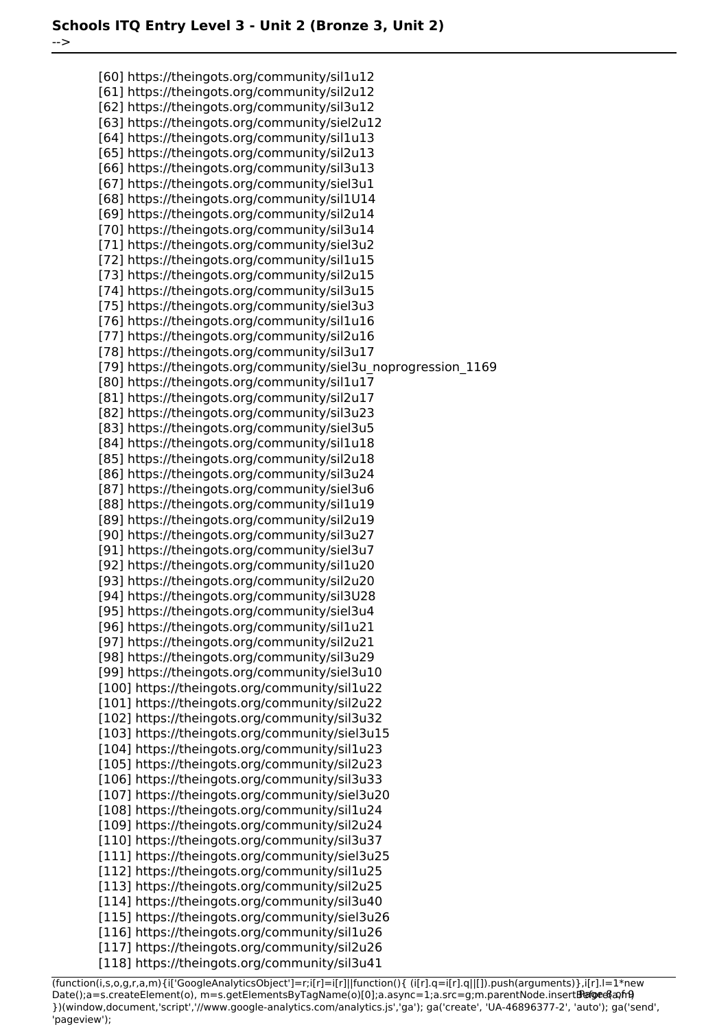-->

[60] https://theingots.org/community/sil1u12 [61] https://theingots.org/community/sil2u12 [62] https://theingots.org/community/sil3u12 [63] https://theingots.org/community/siel2u12 [64] https://theingots.org/community/sil1u13 [65] https://theingots.org/community/sil2u13 [66] https://theingots.org/community/sil3u13 [67] https://theingots.org/community/siel3u1 [68] https://theingots.org/community/sil1U14 [69] https://theingots.org/community/sil2u14 [70] https://theingots.org/community/sil3u14 [71] https://theingots.org/community/siel3u2 [72] https://theingots.org/community/sil1u15 [73] https://theingots.org/community/sil2u15 [74] https://theingots.org/community/sil3u15 [75] https://theingots.org/community/siel3u3 [76] https://theingots.org/community/sil1u16 [77] https://theingots.org/community/sil2u16 [78] https://theingots.org/community/sil3u17 [79] https://theingots.org/community/siel3u\_noprogression\_1169 [80] https://theingots.org/community/sil1u17 [81] https://theingots.org/community/sil2u17 [82] https://theingots.org/community/sil3u23 [83] https://theingots.org/community/siel3u5 [84] https://theingots.org/community/sil1u18 [85] https://theingots.org/community/sil2u18 [86] https://theingots.org/community/sil3u24 [87] https://theingots.org/community/siel3u6 [88] https://theingots.org/community/sil1u19 [89] https://theingots.org/community/sil2u19 [90] https://theingots.org/community/sil3u27 [91] https://theingots.org/community/siel3u7 [92] https://theingots.org/community/sil1u20 [93] https://theingots.org/community/sil2u20 [94] https://theingots.org/community/sil3U28 [95] https://theingots.org/community/siel3u4 [96] https://theingots.org/community/sil1u21 [97] https://theingots.org/community/sil2u21 [98] https://theingots.org/community/sil3u29 [99] https://theingots.org/community/siel3u10 [100] https://theingots.org/community/sil1u22 [101] https://theingots.org/community/sil2u22 [102] https://theingots.org/community/sil3u32 [103] https://theingots.org/community/siel3u15 [104] https://theingots.org/community/sil1u23 [105] https://theingots.org/community/sil2u23 [106] https://theingots.org/community/sil3u33 [107] https://theingots.org/community/siel3u20 [108] https://theingots.org/community/sil1u24 [109] https://theingots.org/community/sil2u24 [110] https://theingots.org/community/sil3u37 [111] https://theingots.org/community/siel3u25 [112] https://theingots.org/community/sil1u25 [113] https://theingots.org/community/sil2u25 [114] https://theingots.org/community/sil3u40 [115] https://theingots.org/community/siel3u26 [116] https://theingots.org/community/sil1u26 [117] https://theingots.org/community/sil2u26 [118] https://theingots.org/community/sil3u41

(function(i,s,o,g,r,a,m){i['GoogleAnalyticsObject']=r;i[r]=i[r]||function(){ (i[r].q=i[r].q||[]).push(arguments)},i[r].l=1\*new Date();a=s.createElement(o), m=s.getElementsByTagName(o)[0];a.async=1;a.src=g;m.parentNode.insertBefore&aภfr9 })(window,document,'script','//www.google-analytics.com/analytics.js','ga'); ga('create', 'UA-46896377-2', 'auto'); ga('send', 'pageview');